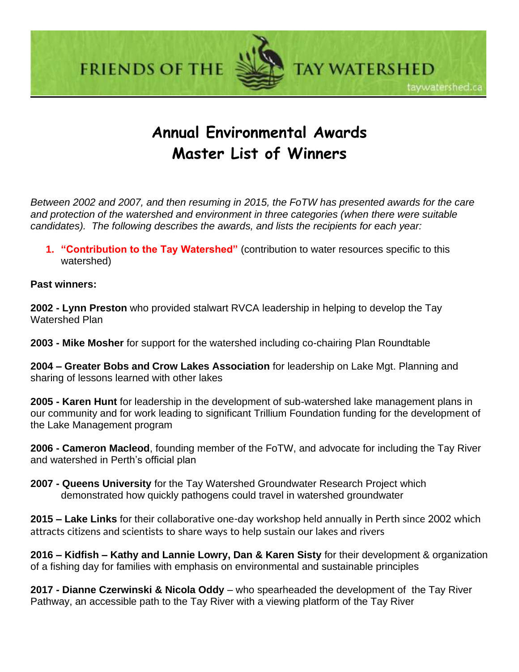**FRIENDS OF THE** 



TAY WATERSHED

taywatershed.ca

# **Annual Environmental Awards Master List of Winners**

*Between 2002 and 2007, and then resuming in 2015, the FoTW has presented awards for the care and protection of the watershed and environment in three categories (when there were suitable candidates). The following describes the awards, and lists the recipients for each year:* 

**1. "Contribution to the Tay Watershed"** (contribution to water resources specific to this watershed)

**Past winners:**

**2002 - Lynn Preston** who provided stalwart RVCA leadership in helping to develop the Tay Watershed Plan

**2003 - Mike Mosher** for support for the watershed including co-chairing Plan Roundtable

**2004 – Greater Bobs and Crow Lakes Association** for leadership on Lake Mgt. Planning and sharing of lessons learned with other lakes

**2005 - Karen Hunt** for leadership in the development of sub-watershed lake management plans in our community and for work leading to significant Trillium Foundation funding for the development of the Lake Management program

**2006 - Cameron Macleod**, founding member of the FoTW, and advocate for including the Tay River and watershed in Perth's official plan

**2007 - Queens University** for the Tay Watershed Groundwater Research Project which demonstrated how quickly pathogens could travel in watershed groundwater

**2015 – Lake Links** for their collaborative one-day workshop held annually in Perth since 2002 which attracts citizens and scientists to share ways to help sustain our lakes and rivers

**2016 – Kidfish – Kathy and Lannie Lowry, Dan & Karen Sisty** for their development & organization of a fishing day for families with emphasis on environmental and sustainable principles

**2017 - Dianne Czerwinski & Nicola Oddy** – who spearheaded the development of the Tay River Pathway, an accessible path to the Tay River with a viewing platform of the Tay River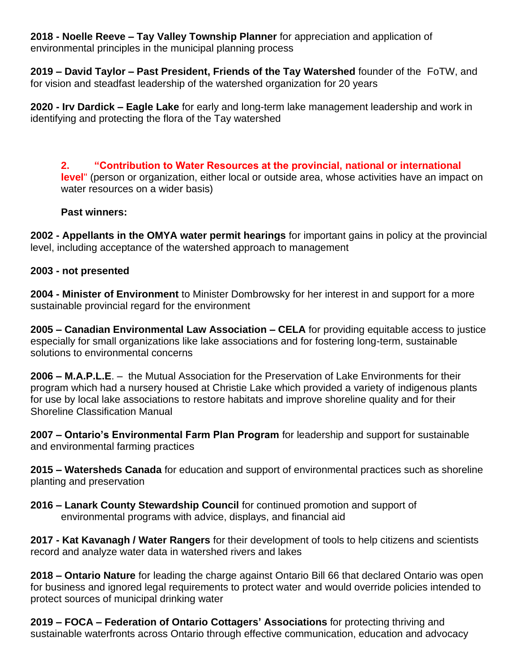**2018 - Noelle Reeve – Tay Valley Township Planner** for appreciation and application of environmental principles in the municipal planning process

**2019 – David Taylor – Past President, Friends of the Tay Watershed** founder of the FoTW, and for vision and steadfast leadership of the watershed organization for 20 years

**2020 - Irv Dardick – Eagle Lake** for early and long-term lake management leadership and work in identifying and protecting the flora of the Tay watershed

**2. "Contribution to Water Resources at the provincial, national or international level**" (person or organization, either local or outside area, whose activities have an impact on water resources on a wider basis)

## **Past winners:**

**2002 - Appellants in the OMYA water permit hearings** for important gains in policy at the provincial level, including acceptance of the watershed approach to management

## **2003 - not presented**

**2004 - Minister of Environment** to Minister Dombrowsky for her interest in and support for a more sustainable provincial regard for the environment

**2005 – Canadian Environmental Law Association – CELA** for providing equitable access to justice especially for small organizations like lake associations and for fostering long-term, sustainable solutions to environmental concerns

**2006 – M.A.P.L.E**. – the Mutual Association for the Preservation of Lake Environments for their program which had a nursery housed at Christie Lake which provided a variety of indigenous plants for use by local lake associations to restore habitats and improve shoreline quality and for their Shoreline Classification Manual

**2007 – Ontario's Environmental Farm Plan Program** for leadership and support for sustainable and environmental farming practices

**2015 – Watersheds Canada** for education and support of environmental practices such as shoreline planting and preservation

**2016 – Lanark County Stewardship Council** for continued promotion and support of environmental programs with advice, displays, and financial aid

**2017 - Kat Kavanagh / Water Rangers** for their development of tools to help citizens and scientists record and analyze water data in watershed rivers and lakes

**2018 – Ontario Nature** for leading the charge against Ontario Bill 66 that declared Ontario was open for business and ignored legal requirements to protect water and would override policies intended to protect sources of municipal drinking water

**2019 – FOCA – Federation of Ontario Cottagers' Associations** for protecting thriving and sustainable waterfronts across Ontario through effective communication, education and advocacy